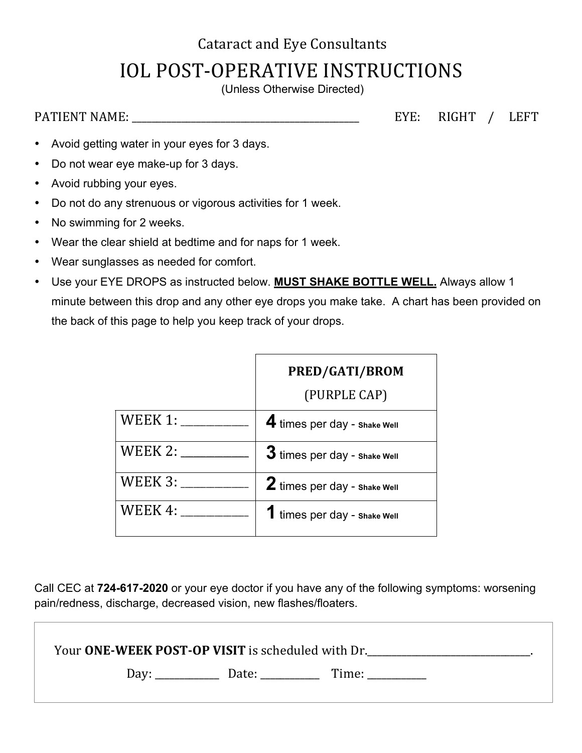## **Cataract and Eye Consultants IOL POST-OPERATIVE INSTRUCTIONS**

(Unless Otherwise Directed)

PATIENT NAME: \_\_\_\_\_\_\_\_\_\_\_\_\_\_\_\_\_\_\_\_\_\_\_\_\_\_\_\_\_\_\_\_\_\_\_\_\_\_\_\_\_\_\_\_\_\_ EYE: RIGHT / LEFT

- Avoid getting water in your eyes for 3 days.
- Do not wear eye make-up for 3 days.
- Avoid rubbing your eyes.
- Do not do any strenuous or vigorous activities for 1 week.
- No swimming for 2 weeks.
- Wear the clear shield at bedtime and for naps for 1 week.
- Wear sunglasses as needed for comfort.
- Use your EYE DROPS as instructed below. **MUST SHAKE BOTTLE WELL.** Always allow 1 minute between this drop and any other eye drops you make take. A chart has been provided on the back of this page to help you keep track of your drops.

|                | PRED/GATI/BROM                 |
|----------------|--------------------------------|
|                | (PURPLE CAP)                   |
| WEEK 1:        | 4 times per day - Shake Well   |
| WEEK 2: $\_\_$ | $3$ times per day - shake Well |
| WEEK $3:$      | 2 times per day - shake Well   |
| WEEK 4:        | 1 times per day - shake Well   |

Call CEC at **724-617-2020** or your eye doctor if you have any of the following symptoms: worsening pain/redness, discharge, decreased vision, new flashes/floaters.

| Your ONE-WEEK POST-OP VISIT is scheduled with Dr. |       |  |
|---------------------------------------------------|-------|--|
| Date:<br>Day.                                     | Time: |  |